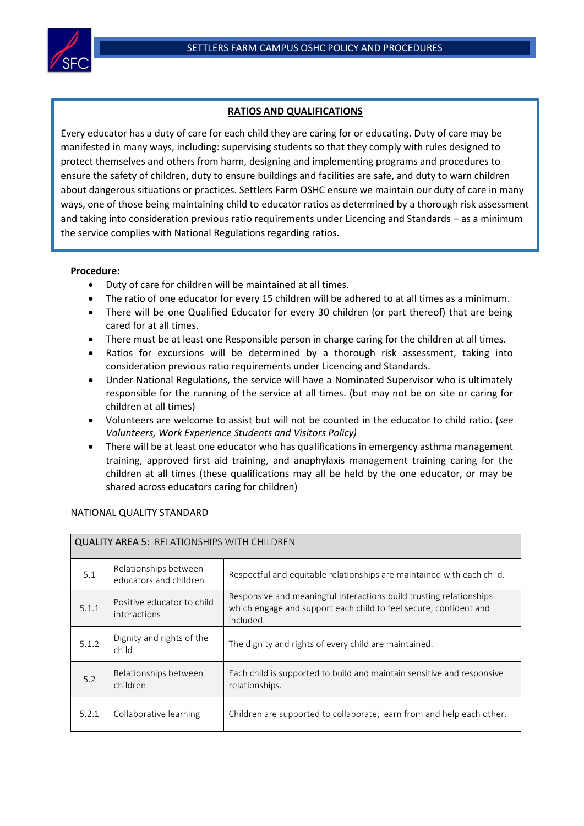

## **RATIOS AND QUALIFICATIONS**

Every educator has a duty of care for each child they are caring for or educating. Duty of care may be manifested in many ways, including: supervising students so that they comply with rules designed to protect themselves and others from harm, designing and implementing programs and procedures to ensure the safety of children, duty to ensure buildings and facilities are safe, and duty to warn children about dangerous situations or practices. Settlers Farm OSHC ensure we maintain our duty of care in many ways, one of those being maintaining child to educator ratios as determined by a thorough risk assessment and taking into consideration previous ratio requirements under Licencing and Standards – as a minimum the service complies with National Regulations regarding ratios.

## **Procedure:**

- Duty of care for children will be maintained at all times.
- The ratio of one educator for every 15 children will be adhered to at all times as a minimum.
- There will be one Qualified Educator for every 30 children (or part thereof) that are being cared for at all times.
- There must be at least one Responsible person in charge caring for the children at all times.
- Ratios for excursions will be determined by a thorough risk assessment, taking into consideration previous ratio requirements under Licencing and Standards.
- Under National Regulations, the service will have a Nominated Supervisor who is ultimately responsible for the running of the service at all times. (but may not be on site or caring for children at all times)
- Volunteers are welcome to assist but will not be counted in the educator to child ratio. (*see Volunteers, Work Experience Students and Visitors Policy)*
- There will be at least one educator who has qualifications in emergency asthma management training, approved first aid training, and anaphylaxis management training caring for the children at all times (these qualifications may all be held by the one educator, or may be shared across educators caring for children)

| <b>QUALITY AREA 5: RELATIONSHIPS WITH CHILDREN</b> |                                                 |                                                                                                                                                       |  |  |  |
|----------------------------------------------------|-------------------------------------------------|-------------------------------------------------------------------------------------------------------------------------------------------------------|--|--|--|
| 5.1                                                | Relationships between<br>educators and children | Respectful and equitable relationships are maintained with each child.                                                                                |  |  |  |
| 5.1.1                                              | Positive educator to child<br>interactions      | Responsive and meaningful interactions build trusting relationships<br>which engage and support each child to feel secure, confident and<br>included. |  |  |  |
| 5.1.2                                              | Dignity and rights of the<br>child              | The dignity and rights of every child are maintained.                                                                                                 |  |  |  |
| 5.2                                                | Relationships between<br>children               | Each child is supported to build and maintain sensitive and responsive<br>relationships.                                                              |  |  |  |
| 5.2.1                                              | Collaborative learning                          | Children are supported to collaborate, learn from and help each other.                                                                                |  |  |  |

## NATIONAL QUALITY STANDARD